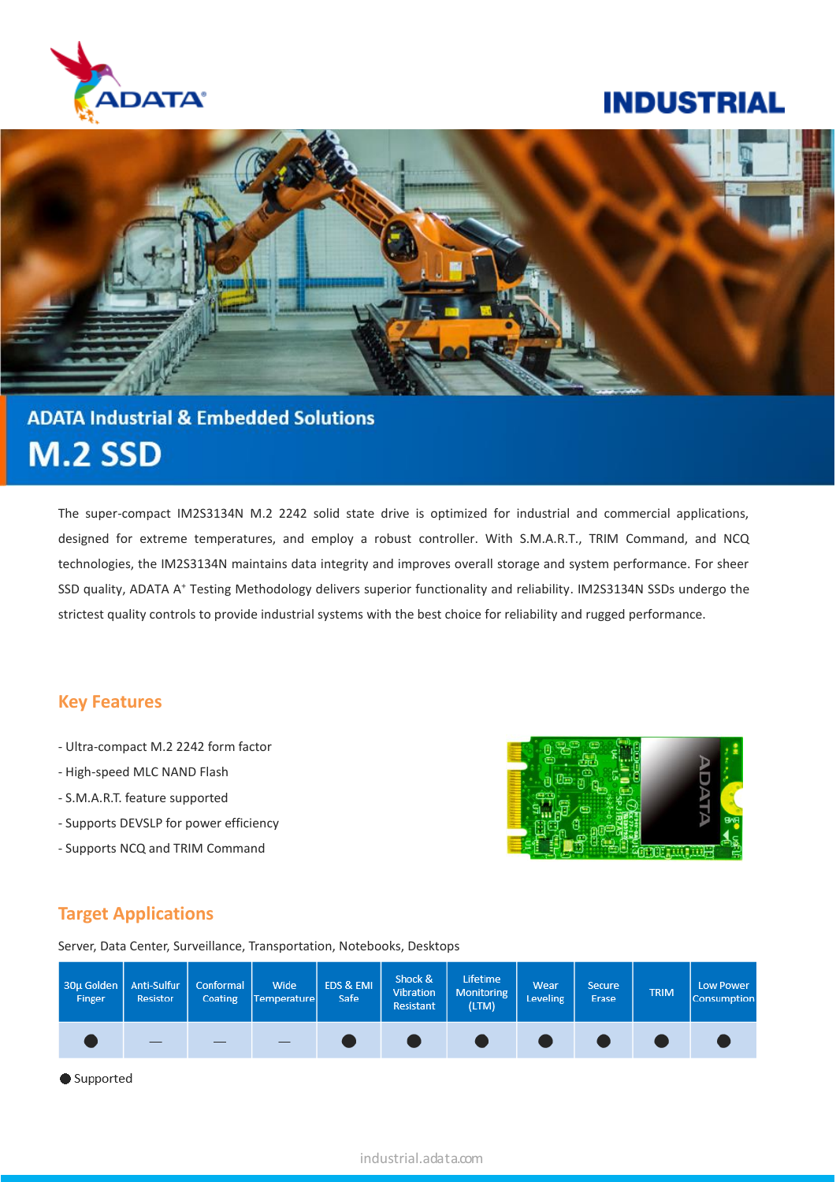

## **INDUSTRIAL**



# **ADATA Industrial & Embedded Solutions M.2 SSD**

The super-compact IM2S3134N M.2 2242 solid state drive is optimized for industrial and commercial applications, designed for extreme temperatures, and employ a robust controller. With S.M.A.R.T., TRIM Command, and NCQ technologies, the IM2S3134N maintains data integrity and improves overall storage and system performance. For sheer SSD quality, ADATA A<sup>+</sup> Testing Methodology delivers superior functionality and reliability. IM2S3134N SSDs undergo the strictest quality controls to provide industrial systems with the best choice for reliability and rugged performance.

#### **Key Features**

- Ultra-compact M.2 2242 form factor
- High-speed MLC NAND Flash
- S.M.A.R.T. feature supported
- Supports DEVSLP for power efficiency
- Supports NCQ and TRIM Command



#### **Target Applications**

Server, Data Center, Surveillance, Transportation, Notebooks, Desktops

| 30µ Golden   Anti-Sulfur  <br>Finger | <b>Resistor</b> | Conformal<br><b>Coating</b> | Wide<br>Temperature | EDS & EMI<br>Safe | Shock &<br>Vibration<br>Resistant | Lifetime<br>Monitoring<br>(LTM) | <b>Wear</b><br>Leveling | <b>Secure</b><br>Erase | <b>TRIM</b> | Low Power<br><b>Consumption</b> |
|--------------------------------------|-----------------|-----------------------------|---------------------|-------------------|-----------------------------------|---------------------------------|-------------------------|------------------------|-------------|---------------------------------|
|                                      |                 |                             |                     |                   |                                   |                                 |                         |                        |             |                                 |

Supported